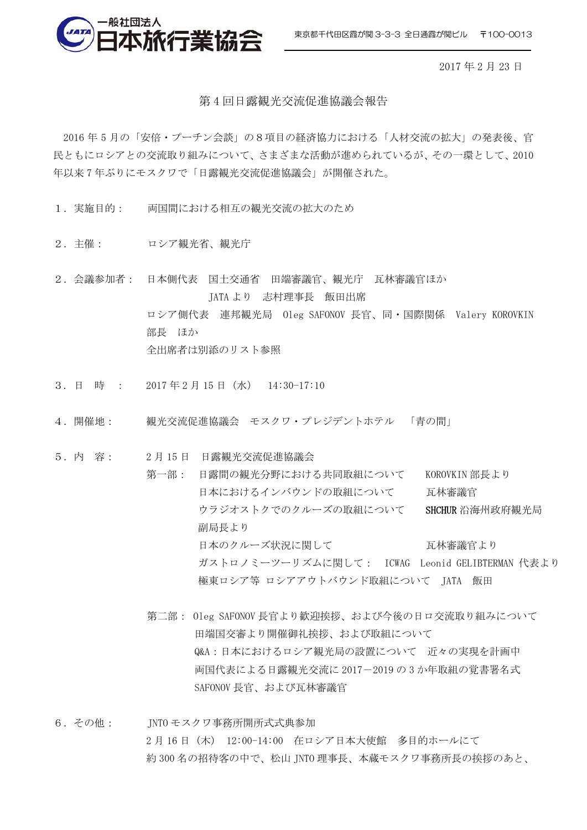東京都千代田区霞が関 3-3-3 全日通霞が関ビル 〒100-0013



2017 年 2 月 23 日

## 第 4 回日露観光交流促進協議会報告

2016 年 5 月の「安倍・プーチン会談」の8項目の経済協力における「人材交流の拡大」の発表後、官 民ともにロシアとの交流取り組みについて、さまざまな活動が進められているが、その一環として、2010 年以来 7 年ぶりにモスクワで「日露観光交流促進協議会」が開催された。

- 1. 実施目的: 両国間における相互の観光交流の拡大のため
- 2.主催: ロシア観光省、観光庁
- 2.会議参加者: 日本側代表 国土交通省 田端審議官、観光庁 瓦林審議官ほか JATA より 志村理事長 飯田出席 ロシア側代表 連邦観光局 Oleg SAFONOV 長官、同・国際関係 Valery KOROVKIN 部長 ほか 全出席者は別添のリスト参照
- 3. 日 時 : 2017 年 2 月 15 日(水) 14:30-17:10
- 4. 開催地: 観光交流促進協議会 モスクワ・プレジデントホテル 「青の間」
- 5.内 容: 2 月 15 日 日露観光交流促進協議会
	- 第一部: 日露間の観光分野における共同取組について KOROVKIN 部長より 日本におけるインバウンドの取組について 瓦林審議官 ウラジオストクでのクルーズの取組について SHCHUR 沿海州政府観光局 副局長より 日本のクルーズ状況に関して インファイン 瓦林審議官より ガストロノミーツーリズムに関して: ICWAG Leonid GELIBTERMAN 代表より 極東ロシア等 ロシアアウトバウンド取組について JATA 飯田
		- 第二部: Oleg SAFONOV 長官より歓迎挨拶、および今後の日ロ交流取り組みについて 田端国交審より開催御礼挨拶、および取組について Q&A:日本におけるロシア観光局の設置について 近々の実現を計画中 両国代表による日露観光交流に 2017-2019 の 3 か年取組の覚書署名式 SAFONOV 長官、および瓦林審議官
- 6.その他: JNTO モスクワ事務所開所式式典参加 2 月 16 日 (木) 12:00-14:00 在ロシア日本大使館 多目的ホールにて 約 300 名の招待客の中で、松山 JNTO 理事長、本蔵モスクワ事務所長の挨拶のあと、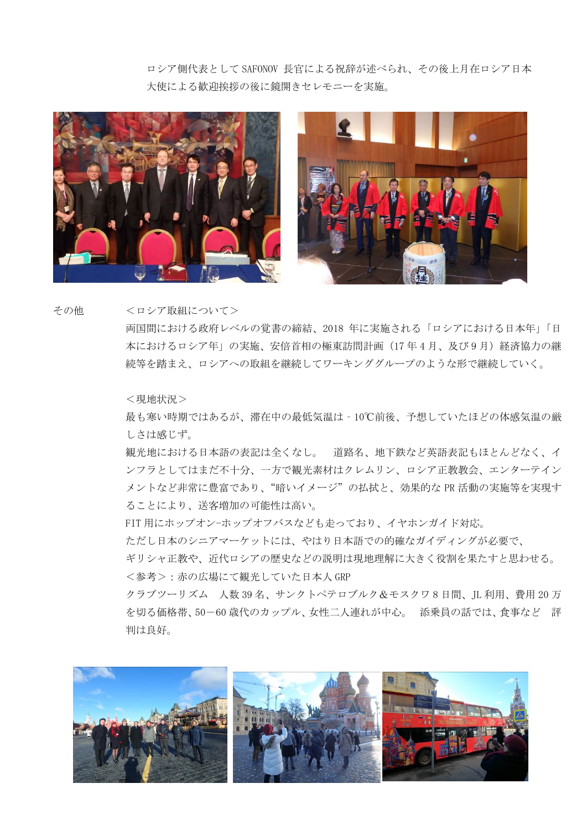ロシア側代表として SAFONOV 長官による祝辞が述べられ、その後上月在ロシア日本 大使による歓迎挨拶の後に鏡開きセレモニーを実施。





その他 <ロシア取組について>

両国間における政府レベルの覚書の締結、2018 年に実施される「ロシアにおける日本年」「日 本におけるロシア年」の実施、安倍首相の極東訪問計画 (17年4月、及び9月) 経済協力の継 続等を踏まえ、ロシアへの取組を継続してワーキンググループのような形で継続していく。

<現地状況>

最も寒い時期ではあるが、滞在中の最低気温は‐10℃前後、予想していたほどの体感気温の厳 しさは感じず。

観光地における日本語の表記は全くなし。 道路名、地下鉄など英語表記もほとんどなく、イ ンフラとしてはまだ不十分、一方で観光素材はクレムリン、ロシア正教教会、エンターテイン メントなど非常に豊富であり、"暗いイメージ"の払拭と、効果的な PR 活動の実施等を実現す ることにより、送客増加の可能性は高い。

FIT 用にホップオン-ホップオフバスなども走っており、イヤホンガイド対応。

ただし日本のシニアマーケットには、やはり日本語での的確なガイディングが必要で、

ギリシャ正教や、近代ロシアの歴史などの説明は現地理解に大きく役割を果たすと思わせる。

<参考>:赤の広場にて観光していた日本人 GRP

クラブツーリズム 人数 39 名、サンクトペテロブルク&モスクワ 8 日間、JL 利用、費用 20 万 を切る価格帯、50-60 歳代のカップル、女性二人連れが中心。 添乗員の話では、食事など 評 判は良好。

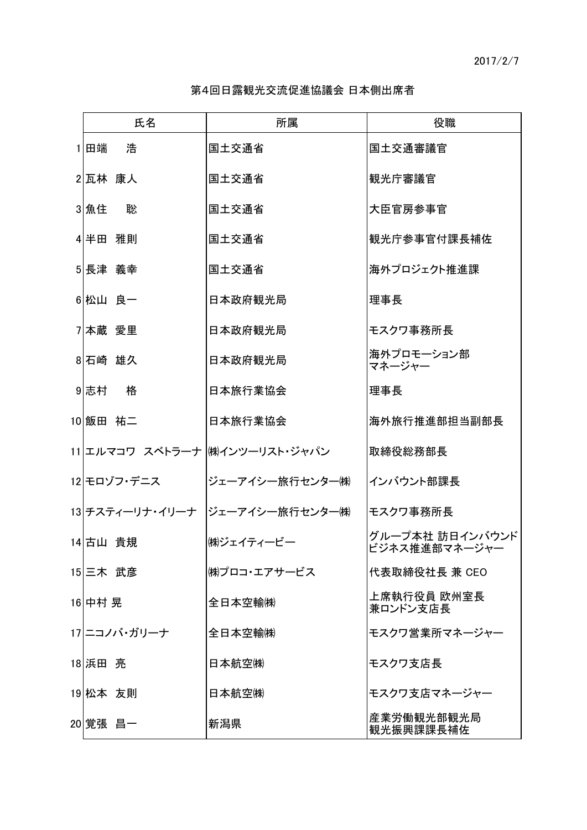第4回日露観光交流促進協議会 日本側出席者

|          | 氏名           | 所属                              | 役職                               |
|----------|--------------|---------------------------------|----------------------------------|
| 1 田端     | 浩            | 国土交通省                           | 国土交通審議官                          |
| 2 瓦林 康人  |              | 国土交通省                           | 観光庁審議官                           |
| 3 魚住     | 聡            | 国土交通省                           | 大臣官房参事官                          |
| 4半田 雅則   |              | 国土交通省                           | 観光庁参事官付課長補佐                      |
| 5 長津 義幸  |              | 国土交通省                           | 海外プロジェクト推進課                      |
| 6 松山 良一  |              | 日本政府観光局                         | 理事長                              |
| 7本蔵 愛里   |              | 日本政府観光局                         | モスクワ事務所長                         |
| 8石崎 雄久   |              | 日本政府観光局                         | 海外プロモーション部<br>マネージャー             |
| 9 志村     | 格            | 日本旅行業協会                         | 理事長                              |
| 10 飯田 祐二 |              | 日本旅行業協会                         | 海外旅行推進部担当副部長                     |
|          |              | 11 エルマコワ スベトラーナ  ㈱インツーリスト・ジャパン  | 取締役総務部長                          |
|          | 12 モロゾフ・デニス  | ジェーアイシー旅行センター㈱                  | インバウント部課長                        |
|          |              | 13 チスティーリナ・イリーナ  ジェーアイシー旅行センター㈱ | モスクワ事務所長                         |
| 14 古山 貴規 |              | ㈱ジェイティービー                       | グループ本社 訪日インバウンド<br>ビジネス推進部マネージャー |
| 15 三木 武彦 |              | ㈱プロコ・エアサービス                     | 代表取締役社長 兼 CEO                    |
| 16 中村 晃  |              | 全日本空輸㈱                          | 上席執行役員 欧州室長<br>兼ロンドン支店長          |
|          | 17 ニコノバ・ガリーナ | 全日本空輸㈱                          | モスクワ営業所マネージャー                    |
| 18 浜田 亮  |              | 日本航空㈱                           | モスクワ支店長                          |
| 19 松本 友則 |              | 日本航空㈱                           | モスクワ支店マネージャー                     |
| 20 覚張 昌一 |              | 新潟県                             | 産業労働観光部観光局<br>観光振興課課長補佐          |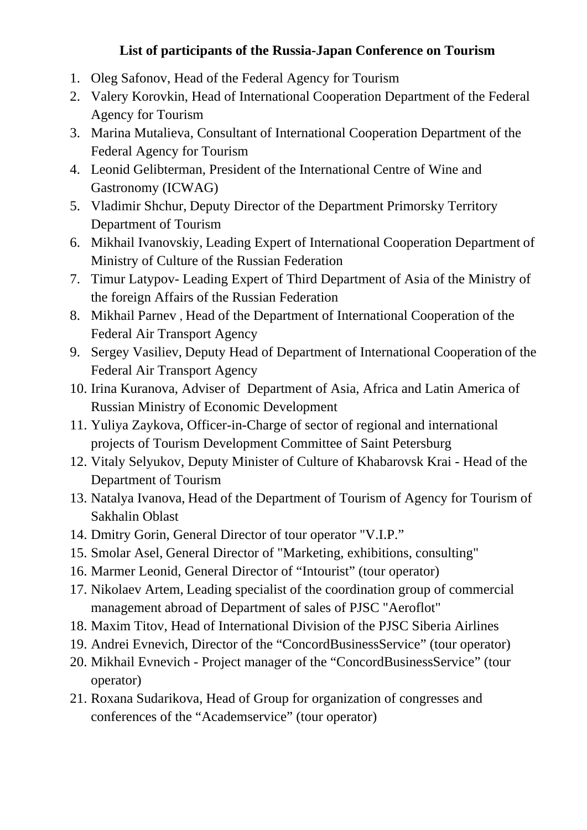## **List of participants of the Russia-Japan Conference on Tourism**

- 1. Oleg Safonov, Head of the Federal Agency for Tourism
- 2. Valery Korovkin, Head of International Cooperation Department of the Federal Agency for Tourism
- 3. Marina Mutalieva, Consultant of International Cooperation Department of the Federal Agency for Tourism
- 4. Leonid Gelibterman, President of the International Centre of Wine and Gastronomy (ICWAG)
- 5. Vladimir Shchur, Deputy Director of the Department Primorsky Territory Department of Tourism
- 6. Mikhail Ivanovskiy, Leading Expert of International Cooperation Department of Ministry of Culture of the Russian Federation
- 7. Timur Latypov- Leading Expert of Third Department of Asia of the Ministry of the foreign Affairs of the Russian Federation
- 8. Mikhail Parnev , Head of the Department of International Cooperation of the Federal Air Transport Agency
- 9. Sergey Vasiliev, Deputy Head of Department of International Cooperation of the Federal Air Transport Agency
- 10. Irina Kuranova, Adviser of Department of Asia, Africa and Latin America of Russian Ministry of Economic Development
- 11. Yuliya Zaykova, Officer-in-Charge of sector of regional and international projects of Tourism Development Committee of Saint Petersburg
- 12. Vitaly Selyukov, Deputy Minister of Culture of Khabarovsk Krai Head of the Department of Tourism
- 13. Natalya Ivanova, Head of the Department of Tourism of Agency for Tourism of Sakhalin Oblast
- 14. Dmitry Gorin, General Director of tour operator "V.I.P."
- 15. Smolar Asel, General Director of "Marketing, exhibitions, consulting"
- 16. Marmer Leonid, General Director of "Intourist" (tour operator)
- 17. Nikolaev Artem, Leading specialist of the coordination group of commercial management abroad of Department of sales of PJSC "Aeroflot"
- 18. Maxim Titov, Head of International Division of the PJSC Siberia Airlines
- 19. Andrei Evnevich, Director of the "ConcordBusinessService" (tour operator)
- 20. Mikhail Evnevich Project manager of the "ConcordBusinessService" (tour operator)
- 21. Roxana Sudarikova, Head of Group for organization of congresses and conferences of the "Academservice" (tour operator)